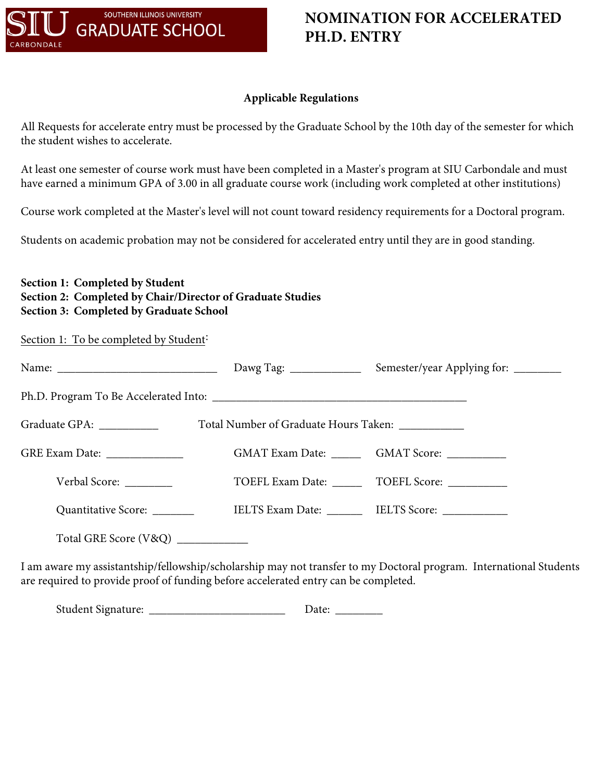

## **NOMINATION FOR ACCELERATED PH.D. ENTRY**

## **Applicable Regulations**

All Requests for accelerate entry must be processed by the Graduate School by the 10th day of the semester for which the student wishes to accelerate.

At least one semester of course work must have been completed in a Master's program at SIU Carbondale and must have earned a minimum GPA of 3.00 in all graduate course work (including work completed at other institutions)

Course work completed at the Master's level will not count toward residency requirements for a Doctoral program.

Students on academic probation may not be considered for accelerated entry until they are in good standing.

| Section 1: Completed by Student                            |
|------------------------------------------------------------|
| Section 2: Completed by Chair/Director of Graduate Studies |
| Section 3: Completed by Graduate School                    |

Section 1: To be completed by Student<sup>:</sup>

| Graduate GPA: ___________           | Total Number of Graduate Hours Taken: ____________ |                                                       |  |
|-------------------------------------|----------------------------------------------------|-------------------------------------------------------|--|
| GRE Exam Date: _______________      |                                                    | GMAT Exam Date: __________ GMAT Score: _____________  |  |
| Verbal Score:                       |                                                    | TOEFL Exam Date: ________ TOEFL Score: ___________    |  |
| Quantitative Score: _______         |                                                    | IELTS Exam Date: __________ IELTS Score: ____________ |  |
| Total GRE Score (V&Q) _____________ |                                                    |                                                       |  |

I am aware my assistantship/fellowship/scholarship may not transfer to my Doctoral program. International Students are required to provide proof of funding before accelerated entry can be completed.

Student Signature: \_\_\_\_\_\_\_\_\_\_\_\_\_\_\_\_\_\_\_\_\_\_\_ Date: \_\_\_\_\_\_\_\_